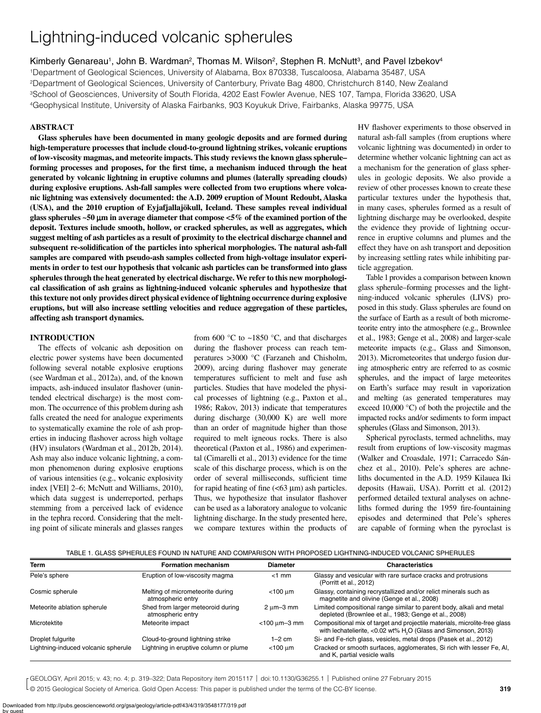# Lightning-induced volcanic spherules

Kimberly Genareau<sup>1</sup>, John B. Wardman<sup>2</sup>, Thomas M. Wilson<sup>2</sup>, Stephen R. McNutt<sup>3</sup>, and Pavel Izbekov<sup>4</sup>

1Department of Geological Sciences, University of Alabama, Box 870338, Tuscaloosa, Alabama 35487, USA 2Department of Geological Sciences, University of Canterbury, Private Bag 4800, Christchurch 8140, New Zealand 3School of Geosciences, University of South Florida, 4202 East Fowler Avenue, NES 107, Tampa, Florida 33620, USA 4Geophysical Institute, University of Alaska Fairbanks, 903 Koyukuk Drive, Fairbanks, Alaska 99775, USA

# **ABSTRACT**

**Glass spherules have been documented in many geologic deposits and are formed during high-temperature processes that include cloud-to-ground lightning strikes, volcanic eruptions of low-viscosity magmas, and meteorite impacts. This study reviews the known glass spherule– forming processes and proposes, for the first time, a mechanism induced through the heat generated by volcanic lightning in eruptive columns and plumes (laterally spreading clouds) during explosive eruptions. Ash-fall samples were collected from two eruptions where volcanic lightning was extensively documented: the A.D. 2009 eruption of Mount Redoubt, Alaska (USA), and the 2010 eruption of Eyjafjallajökull, Iceland. These samples reveal individual**  glass spherules  $~50$  µm in average diameter that compose  $~5\%$  of the examined portion of the **deposit. Textures include smooth, hollow, or cracked spherules, as well as aggregates, which suggest melting of ash particles as a result of proximity to the electrical discharge channel and subsequent re-solidification of the particles into spherical morphologies. The natural ash-fall samples are compared with pseudo-ash samples collected from high-voltage insulator experiments in order to test our hypothesis that volcanic ash particles can be transformed into glass spherules through the heat generated by electrical discharge. We refer to this new morphological classification of ash grains as lightning-induced volcanic spherules and hypothesize that this texture not only provides direct physical evidence of lightning occurrence during explosive eruptions, but will also increase settling velocities and reduce aggregation of these particles, affecting ash transport dynamics.**

## **INTRODUCTION**

The effects of volcanic ash deposition on electric power systems have been documented following several notable explosive eruptions (see Wardman et al., 2012a), and, of the known impacts, ash-induced insulator flashover (unintended electrical discharge) is the most common. The occurrence of this problem during ash falls created the need for analogue experiments to systematically examine the role of ash properties in inducing flashover across high voltage (HV) insulators (Wardman et al., 2012b, 2014). Ash may also induce volcanic lightning, a common phenomenon during explosive eruptions of various intensities (e.g., **v**olcanic explosivity index [VEI] 2–6; McNutt and Williams, 2010), which data suggest is underreported, perhaps stemming from a perceived lack of evidence in the tephra record. Considering that the melting point of silicate minerals and glasses ranges

from 600 °C to ~1850 °C, and that discharges during the flashover process can reach temperatures >3000 °C (Farzaneh and Chisholm, 2009), arcing during flashover may generate temperatures sufficient to melt and fuse ash particles. Studies that have modeled the physical processes of lightning (e.g., Paxton et al., 1986; Rakov, 2013) indicate that temperatures during discharge (30,000 K) are well more than an order of magnitude higher than those required to melt igneous rocks. There is also theoretical (Paxton et al., 1986) and experimental (Cimarelli et al., 2013) evidence for the time scale of this discharge process, which is on the order of several milliseconds, sufficient time for rapid heating of fine  $(<$  63  $\mu$ m) ash particles. Thus, we hypothesize that insulator flashover can be used as a laboratory analogue to volcanic lightning discharge. In the study presented here, we compare textures within the products of HV flashover experiments to those observed in natural ash-fall samples (from eruptions where volcanic lightning was documented) in order to determine whether volcanic lightning can act as a mechanism for the generation of glass spherules in geologic deposits. We also provide a review of other processes known to create these particular textures under the hypothesis that, in many cases, spherules formed as a result of lightning discharge may be overlooked, despite the evidence they provide of lightning occurrence in eruptive columns and plumes and the effect they have on ash transport and deposition by increasing settling rates while inhibiting particle aggregation.

Table1 provides a comparison between known glass spherule–forming processes and the lightning-induced volcanic spherules (LIVS) proposed in this study. Glass spherules are found on the surface of Earth as a result of both micrometeorite entry into the atmosphere (e.g., Brownlee et al., 1983; Genge et al., 2008) and larger-scale meteorite impacts (e.g., Glass and Simonson, 2013). Micrometeorites that undergo fusion during atmospheric entry are referred to as cosmic spherules, and the impact of large meteorites on Earth's surface may result in vaporization and melting (as generated temperatures may exceed 10,000 °C) of both the projectile and the impacted rocks and/or sediments to form impact spherules (Glass and Simonson, 2013).

Spherical pyroclasts, termed achneliths, may result from eruptions of low-viscosity magmas (Walker and Croasdale, 1971; Carracedo Sánchez et al., 2010). Pele's spheres are achneliths documented in the A.D. 1959 Kilauea Iki deposits (Hawaii, USA). Porritt et al. (2012) performed detailed textural analyses on achneliths formed during the 1959 fire-fountaining episodes and determined that Pele's spheres are capable of forming when the pyroclast is

| TABLE 1. GLASS SPHERULES FOUND IN NATURE AND COMPARISON WITH PROPOSED LIGHTNING-INDUCED VOLCANIC SPHERULES |
|------------------------------------------------------------------------------------------------------------|
|------------------------------------------------------------------------------------------------------------|

| <b>Term</b>                         | <b>Formation mechanism</b>                             | <b>Diameter</b>             | <b>Characteristics</b>                                                                                                                                   |
|-------------------------------------|--------------------------------------------------------|-----------------------------|----------------------------------------------------------------------------------------------------------------------------------------------------------|
| Pele's sphere                       | Eruption of low-viscosity magma                        | $<$ 1 mm                    | Glassy and vesicular with rare surface cracks and protrusions<br>(Porritt et al., 2012)                                                                  |
| Cosmic spherule                     | Melting of micrometeorite during<br>atmospheric entry  | $<$ 100 um                  | Glassy, containing recrystallized and/or relict minerals such as<br>magnetite and olivine (Genge et al., 2008)                                           |
| Meteorite ablation spherule         | Shed from larger meteoroid during<br>atmospheric entry | $2 \text{ um}-3 \text{ mm}$ | Limited compositional range similar to parent body, alkali and metal<br>depleted (Brownlee et al., 1983; Genge et al., 2008)                             |
| Microtektite                        | Meteorite impact                                       | $<$ 100 $\mu$ m-3 mm        | Compositional mix of target and projectile materials, microlite-free glass<br>with lechatelierite, <0.02 wt% H <sub>2</sub> O (Glass and Simonson, 2013) |
| Droplet fulgurite                   | Cloud-to-ground lightning strike                       | $1-2$ cm                    | Si- and Fe-rich glass, vesicles, metal drops (Pasek et al., 2012)                                                                                        |
| Lightning-induced volcanic spherule | Lightning in eruptive column or plume                  | $<$ 100 $\mu$ m             | Cracked or smooth surfaces, agglomerates, Si rich with lesser Fe, Al,<br>and K, partial vesicle walls                                                    |

© 2015 Geological Society of America. Gold Open Access: This paper is published under the terms of the CC-BY license. GEOLOGY, April 2015; v. 43; no. 4; p. 319–322; Data Repository item 2015117 | doi:10.1130/G36255.1 | Published online 27 February 2015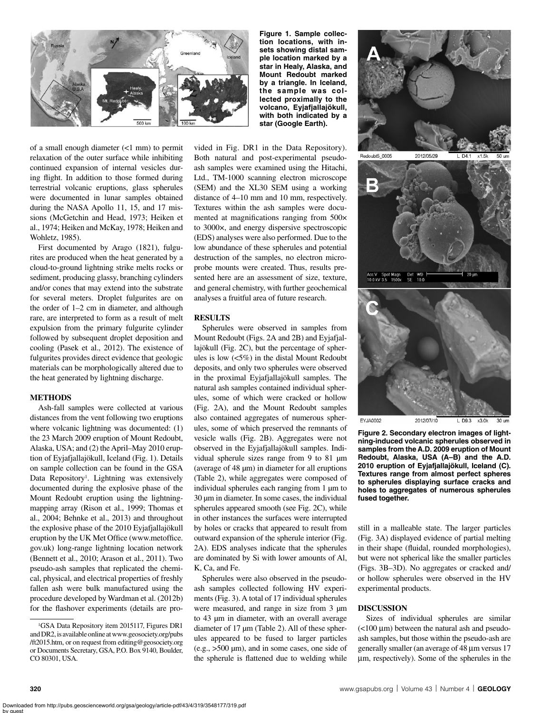

of a small enough diameter (<1 mm) to permit relaxation of the outer surface while inhibiting continued expansion of internal vesicles during flight. In addition to those formed during terrestrial volcanic eruptions, glass spherules were documented in lunar samples obtained during the NASA Apollo 11, 15, and 17 missions (McGetchin and Head, 1973; Heiken et al., 1974; Heiken and McKay, 1978; Heiken and Wohletz, 1985).

First documented by Arago (1821), fulgurites are produced when the heat generated by a cloud-to-ground lightning strike melts rocks or sediment, producing glassy, branching cylinders and/or cones that may extend into the substrate for several meters. Droplet fulgurites are on the order of 1–2 cm in diameter, and although rare, are interpreted to form as a result of melt expulsion from the primary fulgurite cylinder followed by subsequent droplet deposition and cooling (Pasek et al., 2012). The existence of fulgurites provides direct evidence that geologic materials can be morphologically altered due to the heat generated by lightning discharge.

### **METHODS**

Ash-fall samples were collected at various distances from the vent following two eruptions where volcanic lightning was documented:  $(1)$ the 23 March 2009 eruption of Mount Redoubt, Alaska, USA; and (2) the April–May 2010 eruption of Eyjafjallajökull, Iceland (Fig. 1). Details on sample collection can be found in the GSA Data Repository<sup>1</sup>. Lightning was extensively documented during the explosive phase of the Mount Redoubt eruption using the lightningmapping array (Rison et al., 1999; Thomas et al., 2004; Behnke et al., 2013) and throughout the explosive phase of the 2010 Eyjafjallajökull eruption by the UK Met Office (www.metoffice. gov.uk) long-range lightning location network (Bennett et al., 2010; Arason et al., 2011). Two pseudo-ash samples that replicated the chemical, physical, and electrical properties of freshly fallen ash were bulk manufactured using the procedure developed by Wardman et al. (2012b) for the flashover experiments (details are pro-

**Figure 1. Sample collection locations, with insets showing distal sample location marked by a star in Healy, Alaska, and Mount Redoubt marked by a triangle. In Iceland, the sample was collected proximally to the volcano, Eyjafjallajökull, with both indicated by a star (Google Earth).**

vided in Fig. DR1 in the Data Repository). Both natural and post-experimental pseudoash samples were examined using the Hitachi, Ltd., TM-1000 scanning electron microscope (SEM) and the XL30 SEM using a working distance of 4–10 mm and 10 mm, respectively. Textures within the ash samples were documented at magnifications ranging from 500× to 3000×, and energy dispersive spectroscopic (EDS) analyses were also performed. Due to the low abundance of these spherules and potential destruction of the samples, no electron microprobe mounts were created. Thus, results presented here are an assessment of size, texture, and general chemistry, with further geochemical analyses a fruitful area of future research.

### **RESULTS**

Spherules were observed in samples from Mount Redoubt (Figs. 2A and 2B) and Eyjafjallajökull (Fig. 2C), but the percentage of spherules is low (<5%) in the distal Mount Redoubt deposits, and only two spherules were observed in the proximal Eyjafjallajökull samples. The natural ash samples contained individual spherules, some of which were cracked or hollow (Fig. 2A), and the Mount Redoubt samples also contained aggregates of numerous spherules, some of which preserved the remnants of vesicle walls (Fig. 2B). Aggregates were not observed in the Eyjafjallajökull samples. Individual spherule sizes range from 9 to 81 µm (average of 48 µm) in diameter for all eruptions (Table 2), while aggregates were composed of individual spherules each ranging from 1 µm to 30 µm in diameter. In some cases, the individual spherules appeared smooth (see Fig. 2C), while in other instances the surfaces were interrupted by holes or cracks that appeared to result from outward expansion of the spherule interior (Fig. 2A). EDS analyses indicate that the spherules are dominated by Si with lower amounts of Al, K, Ca, and Fe.

Spherules were also observed in the pseudoash samples collected following HV experiments (Fig. 3). A total of 17 individual spherules were measured, and range in size from 3  $\mu$ m to 43 µm in diameter, with an overall average diameter of 17 µm (Table 2). All of these spherules appeared to be fused to larger particles (e.g., >500 µm), and in some cases, one side of the spherule is flattened due to welding while



**Figure 2. Secondary electron images of lightning-induced volcanic spherules observed in samples from the A.D. 2009 eruption of Mount Redoubt, Alaska, USA (A–B) and the A.D. 2010 eruption of Eyjafjallajökull, Iceland (C). Textures range from almost perfect spheres to spherules displaying surface cracks and holes to aggregates of numerous spherules fused together.**

still in a malleable state. The larger particles (Fig. 3A) displayed evidence of partial melting in their shape (fluidal, rounded morphologies), but were not spherical like the smaller particles (Figs. 3B–3D). No aggregates or cracked and/ or hollow spherules were observed in the HV experimental products.

#### **DISCUSSION**

Sizes of individual spherules are similar  $(<$ 100  $\mu$ m) between the natural ash and pseudoash samples, but those within the pseudo-ash are generally smaller (an average of 48 µm versus 17 mm, respectively). Some of the spherules in the

<sup>1</sup> GSA Data Repository item 2015117, Figures DR1 and DR2, is available online at www.geosociety.org/pubs /ft2015.htm, or on request from editing@geosociety.org or Documents Secretary, GSA, P.O. Box 9140, Boulder, CO 80301, USA.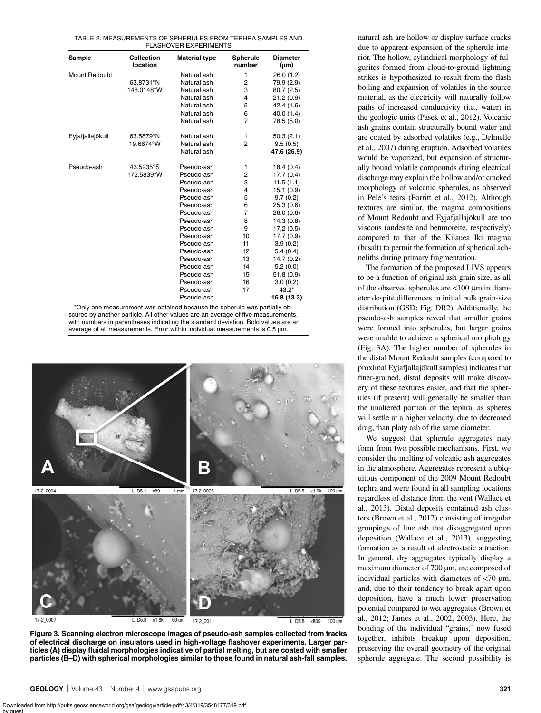| Sample | <b>Collection</b> | <b>Material type</b> | <b>Spherule</b> | Dia |
|--------|-------------------|----------------------|-----------------|-----|
|        | location          |                      | number          |     |

TABLE 2. MEASUREMENTS OF SPHERULES FROM TEPHRA SAMPLES AND FLASHOVER EXPERIMENTS

| Sample               | <b>Collection</b><br>location | Material type | <b>Spherule</b><br>number | <b>Diameter</b><br>$(\mu m)$ |
|----------------------|-------------------------------|---------------|---------------------------|------------------------------|
| <b>Mount Redoubt</b> |                               | Natural ash   | 1                         | 26.0(1.2)                    |
|                      | 63.8731°N                     | Natural ash   | $\overline{2}$            | 79.9 (2.9)                   |
|                      | 148.0148°W                    | Natural ash   | 3                         | 80.7(2.5)                    |
|                      |                               | Natural ash   | 4                         | 21.2(0.9)                    |
|                      |                               | Natural ash   | 5                         | 42.4 (1.6)                   |
|                      |                               | Natural ash   | 6                         | 40.0 (1.4)                   |
|                      |                               | Natural ash   | $\overline{7}$            | 78.5 (5.0)                   |
| Eyjafjallajökull     | 63.5879°N                     | Natural ash   | 1                         | 50.3(2.1)                    |
|                      | 19.6674°W                     | Natural ash   | $\overline{2}$            | 9.5(0.5)                     |
|                      |                               | Natural ash   |                           | 47.6 (26.9)                  |
| Pseudo-ash           | 43.5235°S                     | Pseudo-ash    | 1                         | 18.4(0.4)                    |
|                      | 172.5839°W                    | Pseudo-ash    | $\overline{2}$            | 17.7 (0.4)                   |
|                      |                               | Pseudo-ash    | 3                         | 11.5(1.1)                    |
|                      |                               | Pseudo-ash    | 4                         | 15.1(0.9)                    |
|                      |                               | Pseudo-ash    | 5                         | 9.7(0.2)                     |
|                      |                               | Pseudo-ash    | 6                         | 25.3(0.6)                    |
|                      |                               | Pseudo-ash    | 7                         | 26.0(0.6)                    |
|                      |                               | Pseudo-ash    | 8                         | 14.3(0.8)                    |
|                      |                               | Pseudo-ash    | 9                         | 17.2 (0.5)                   |
|                      |                               | Pseudo-ash    | 10                        | 17.7 (0.9)                   |
|                      |                               | Pseudo-ash    | 11                        | 3.9(0.2)                     |
|                      |                               | Pseudo-ash    | 12                        | 5.4(0.4)                     |
|                      |                               | Pseudo-ash    | 13                        | 14.7 (0.2)                   |
|                      |                               | Pseudo-ash    | 14                        | 5.2(0.0)                     |
|                      |                               | Pseudo-ash    | 15                        | 51.8(0.9)                    |
|                      |                               | Pseudo-ash    | 16                        | 3.0(0.2)                     |
|                      |                               | Pseudo-ash    | 17                        | $43.2*$                      |
|                      |                               | Pseudo-ash    |                           | 16.8 (13.3)                  |

\*Only one measurement was obtained because the spherule was partially obscured by another particle. All other values are an average of five measurements, with numbers in parentheses indicating the standard deviation. Bold values are an average of all measurements. Error within individual measurements is 0.5 µm.



**Figure 3. Scanning electron microscope images of pseudo-ash samples collected from tracks of electrical discharge on insulators used in high-voltage flashover experiments. Larger particles (A) display fluidal morphologies indicative of partial melting, but are coated with smaller particles (B–D) with spherical morphologies similar to those found in natural ash-fall samples.**

natural ash are hollow or display surface cracks due to apparent expansion of the spherule interior. The hollow, cylindrical morphology of fulgurites formed from cloud-to-ground lightning strikes is hypothesized to result from the flash boiling and expansion of volatiles in the source material, as the electricity will naturally follow paths of increased conductivity (i.e., water) in the geologic units (Pasek et al., 2012). Volcanic ash grains contain structurally bound water and are coated by adsorbed volatiles (e.g., Delmelle et al., 2007) during eruption. Adsorbed volatiles would be vaporized, but expansion of structurally bound volatile compounds during electrical discharge may explain the hollow and/or cracked morphology of volcanic spherules, as observed in Pele's tears (Porritt et al., 2012). Although textures are similar, the magma compositions of Mount Redoubt and Eyjafjallajökull are too viscous (andesite and benmoreite, respectively) compared to that of the Kilauea Iki magma (basalt) to permit the formation of spherical achneliths during primary fragmentation.

The formation of the proposed LIVS appears to be a function of original ash grain size, as all of the observed spherules are  $\lt$ 100  $\mu$ m in diameter despite differences in initial bulk grain-size distribution (GSD; Fig. DR2). Additionally, the pseudo-ash samples reveal that smaller grains were formed into spherules, but larger grains were unable to achieve a spherical morphology (Fig. 3A). The higher number of spherules in the distal Mount Redoubt samples (compared to proximal Eyjafjallajökull samples) indicates that finer-grained, distal deposits will make discovery of these textures easier, and that the spherules (if present) will generally be smaller than the unaltered portion of the tephra, as spheres will settle at a higher velocity, due to decreased drag, than platy ash of the same diameter.

We suggest that spherule aggregates may form from two possible mechanisms. First, we consider the melting of volcanic ash aggregates in the atmosphere. Aggregates represent a ubiquitous component of the 2009 Mount Redoubt tephra and were found in all sampling locations regardless of distance from the vent (Wallace et al., 2013). Distal deposits contained ash clusters (Brown et al., 2012) consisting of irregular groupings of fine ash that disaggregated upon deposition (Wallace et al., 2013), suggesting formation as a result of electrostatic attraction. In general, dry aggregates typically display a maximum diameter of 700 µm, are composed of individual particles with diameters of  $<$ 70  $\mu$ m, and, due to their tendency to break apart upon deposition, have a much lower preservation potential compared to wet aggregates (Brown et al., 2012; James et al., 2002, 2003). Here, the bonding of the individual "grains," now fused together, inhibits breakup upon deposition, preserving the overall geometry of the original spherule aggregate. The second possibility is